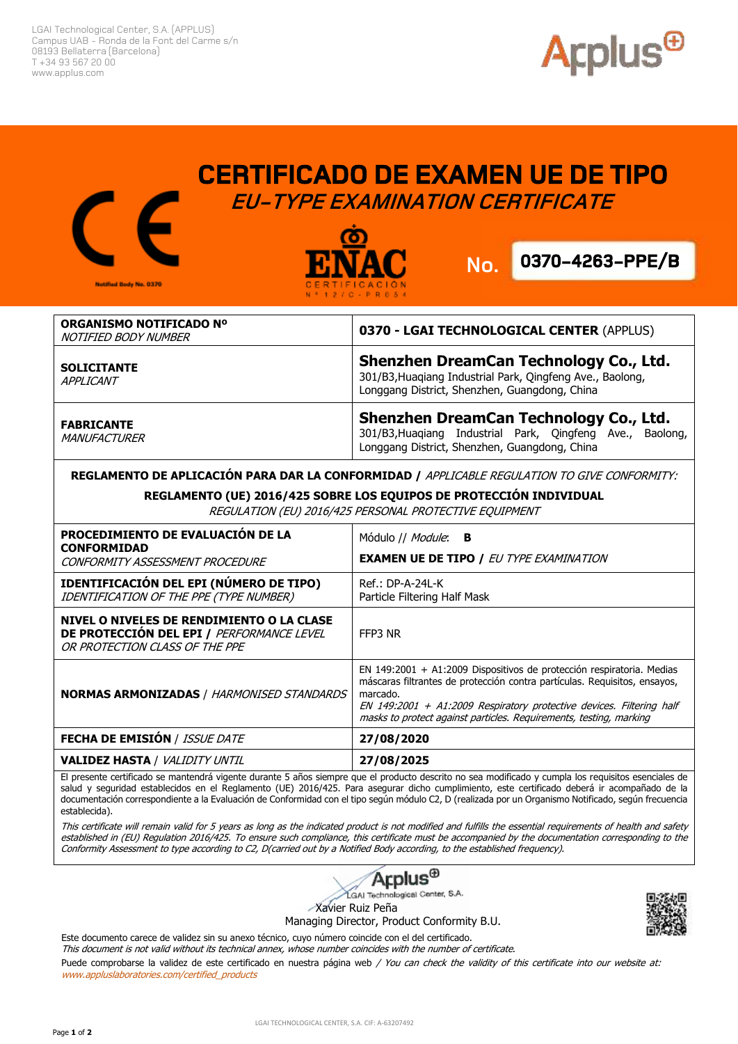LGAI Technological Center, S.A. (APPLUS) Campus UAB - Ronda de la Font del Carme s/n 08193 Bellaterra (Barcelona) T +34 93 567 20 00 www.applus.com



## **CERTIFICADO DE EXAMEN UE DE TIPO EU-TYPE EXAMINATION CERTIFICATE**





Applus<sup>®</sup>

| ORGANISMO NOTIFICADO Nº<br>NOTIFIED BODY NUMBER | 0370 - LGAI TECHNOLOGICAL CENTER (APPLUS)                                                                                                               |
|-------------------------------------------------|---------------------------------------------------------------------------------------------------------------------------------------------------------|
| <b>SOLICITANTE</b><br>APPLICANT                 | Shenzhen DreamCan Technology Co., Ltd.<br>301/B3, Huagiang Industrial Park, Qingfeng Ave., Baolong,<br>Longgang District, Shenzhen, Guangdong, China    |
| <b>FABRICANTE</b><br>MANUFACTURER               | Shenzhen DreamCan Technology Co., Ltd.<br>301/B3, Huaqiang Industrial Park, Qingfeng Ave.,<br>Baolong,<br>Longgang District, Shenzhen, Guangdong, China |

**REGLAMENTO DE APLICACIÓN PARA DAR LA CONFORMIDAD /** APPLICABLE REGULATION TO GIVE CONFORMITY:

## **REGLAMENTO (UE) 2016/425 SOBRE LOS EQUIPOS DE PROTECCIÓN INDIVIDUAL**

REGULATION (EU) 2016/425 PERSONAL PROTECTIVE EQUIPMENT

| PROCEDIMIENTO DE EVALUACIÓN DE LA<br><b>CONFORMIDAD</b><br>CONFORMITY ASSESSMENT PROCEDURE                               | Módulo // <i>Module</i> : <b>B</b><br><b>EXAMEN UE DE TIPO / EU TYPE EXAMINATION</b>                                                                                                                                                                                                                         |
|--------------------------------------------------------------------------------------------------------------------------|--------------------------------------------------------------------------------------------------------------------------------------------------------------------------------------------------------------------------------------------------------------------------------------------------------------|
| <b>IDENTIFICACIÓN DEL EPI (NÚMERO DE TIPO)</b><br>IDENTIFICATION OF THE PPE (TYPE NUMBER)                                | $Ref.:$ DP-A-24L-K<br>Particle Filtering Half Mask                                                                                                                                                                                                                                                           |
| NIVEL O NIVELES DE RENDIMIENTO O LA CLASE<br>DE PROTECCIÓN DEL EPI / PERFORMANCE LEVEL<br>OR PROTECTION CLASS OF THE PPE | FFP3 NR                                                                                                                                                                                                                                                                                                      |
| <b>NORMAS ARMONIZADAS / HARMONISED STANDARDS</b>                                                                         | EN 149:2001 + A1:2009 Dispositivos de protección respiratoria. Medias<br>máscaras filtrantes de protección contra partículas. Requisitos, ensayos,<br>marcado.<br>EN 149:2001 + A1:2009 Respiratory protective devices. Filtering half<br>masks to protect against particles. Requirements, testing, marking |
| <b>FECHA DE EMISIÓN / ISSUE DATE</b>                                                                                     | 27/08/2020                                                                                                                                                                                                                                                                                                   |
| <b>VALIDEZ HASTA / VALIDITY UNTIL</b>                                                                                    | 27/08/2025                                                                                                                                                                                                                                                                                                   |

El presente certificado se mantendrá vigente durante 5 años siempre que el producto descrito no sea modificado y cumpla los requisitos esenciales de salud y seguridad establecidos en el Reglamento (UE) 2016/425. Para asegurar dicho cumplimiento, este certificado deberá ir acompañado de la documentación correspondiente a la Evaluación de Conformidad con el tipo según módulo C2, D (realizada por un Organismo Notificado, según frecuencia establecida).

This certificate will remain valid for 5 years as long as the indicated product is not modified and fulfills the essential requirements of health and safety established in (EU) Regulation 2016/425. To ensure such compliance, this certificate must be accompanied by the documentation corresponding to the Conformity Assessment to type according to C2, D(carried out by a Notified Body according, to the established frequency).



LGAI Technological Center, S.A.

Xavier Ruiz Peña Managing Director, Product Conformity B.U.

Este documento carece de validez sin su anexo técnico, cuyo número coincide con el del certificado. This document is not valid without its technical annex, whose number coincides with the number of certificate. Puede comprobarse la validez de este certificado en nuestra página web / You can check the validity of this certificate into our website at: www.appluslaboratories.com/certified\_products